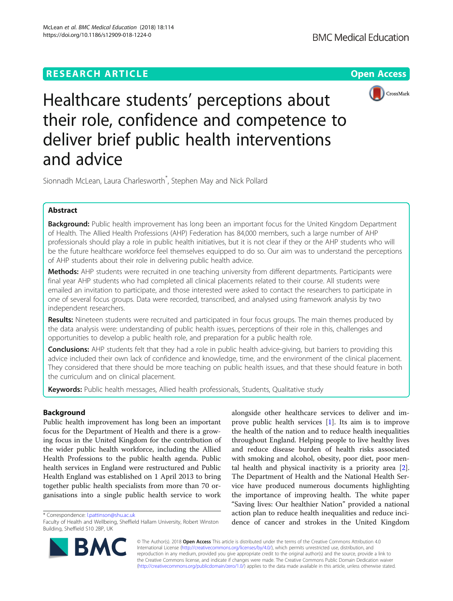# **RESEARCH ARTICLE Example 2018 12:30 The Contract of Contract ACCESS**



Healthcare students' perceptions about their role, confidence and competence to deliver brief public health interventions and advice

Sionnadh McLean, Laura Charlesworth<sup>\*</sup>, Stephen May and Nick Pollard

## Abstract

Background: Public health improvement has long been an important focus for the United Kingdom Department of Health. The Allied Health Professions (AHP) Federation has 84,000 members, such a large number of AHP professionals should play a role in public health initiatives, but it is not clear if they or the AHP students who will be the future healthcare workforce feel themselves equipped to do so. Our aim was to understand the perceptions of AHP students about their role in delivering public health advice.

Methods: AHP students were recruited in one teaching university from different departments. Participants were final year AHP students who had completed all clinical placements related to their course. All students were emailed an invitation to participate, and those interested were asked to contact the researchers to participate in one of several focus groups. Data were recorded, transcribed, and analysed using framework analysis by two independent researchers.

Results: Nineteen students were recruited and participated in four focus groups. The main themes produced by the data analysis were: understanding of public health issues, perceptions of their role in this, challenges and opportunities to develop a public health role, and preparation for a public health role.

Conclusions: AHP students felt that they had a role in public health advice-giving, but barriers to providing this advice included their own lack of confidence and knowledge, time, and the environment of the clinical placement. They considered that there should be more teaching on public health issues, and that these should feature in both the curriculum and on clinical placement.

Keywords: Public health messages, Allied health professionals, Students, Qualitative study

## Background

Public health improvement has long been an important focus for the Department of Health and there is a growing focus in the United Kingdom for the contribution of the wider public health workforce, including the Allied Health Professions to the public health agenda. Public health services in England were restructured and Public Health England was established on 1 April 2013 to bring together public health specialists from more than 70 organisations into a single public health service to work

\* Correspondence: [l.pattinson@shu.ac.uk](mailto:l.pattinson@shu.ac.uk)

alongside other healthcare services to deliver and improve public health services [\[1](#page-7-0)]. Its aim is to improve the health of the nation and to reduce health inequalities throughout England. Helping people to live healthy lives and reduce disease burden of health risks associated with smoking and alcohol, obesity, poor diet, poor mental health and physical inactivity is a priority area [\[2](#page-7-0)]. The Department of Health and the National Health Service have produced numerous documents highlighting the importance of improving health. The white paper "Saving lives: Our healthier Nation" provided a national action plan to reduce health inequalities and reduce incidence of cancer and strokes in the United Kingdom



© The Author(s). 2018 Open Access This article is distributed under the terms of the Creative Commons Attribution 4.0 International License [\(http://creativecommons.org/licenses/by/4.0/](http://creativecommons.org/licenses/by/4.0/)), which permits unrestricted use, distribution, and reproduction in any medium, provided you give appropriate credit to the original author(s) and the source, provide a link to the Creative Commons license, and indicate if changes were made. The Creative Commons Public Domain Dedication waiver [\(http://creativecommons.org/publicdomain/zero/1.0/](http://creativecommons.org/publicdomain/zero/1.0/)) applies to the data made available in this article, unless otherwise stated.

Faculty of Health and Wellbeing, Sheffield Hallam University, Robert Winston Building, Sheffield S10 2BP, UK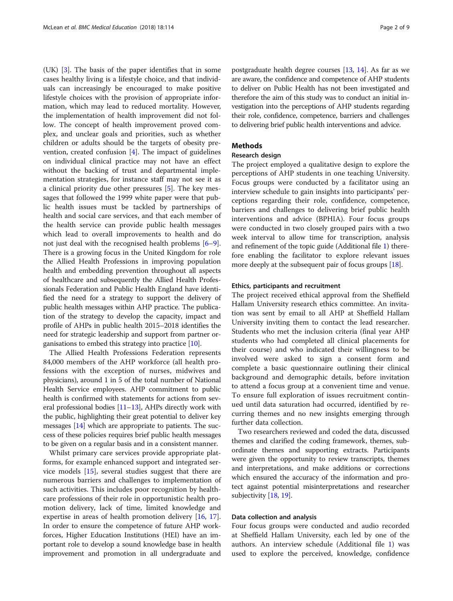(UK) [[3\]](#page-7-0). The basis of the paper identifies that in some cases healthy living is a lifestyle choice, and that individuals can increasingly be encouraged to make positive lifestyle choices with the provision of appropriate information, which may lead to reduced mortality. However, the implementation of health improvement did not follow. The concept of health improvement proved complex, and unclear goals and priorities, such as whether children or adults should be the targets of obesity prevention, created confusion [\[4\]](#page-7-0). The impact of guidelines on individual clinical practice may not have an effect without the backing of trust and departmental implementation strategies, for instance staff may not see it as a clinical priority due other pressures [[5\]](#page-7-0). The key messages that followed the 1999 white paper were that public health issues must be tackled by partnerships of health and social care services, and that each member of the health service can provide public health messages which lead to overall improvements to health and do not just deal with the recognised health problems [\[6](#page-7-0)–[9](#page-7-0)]. There is a growing focus in the United Kingdom for role the Allied Health Professions in improving population health and embedding prevention throughout all aspects of healthcare and subsequently the Allied Health Professionals Federation and Public Health England have identified the need for a strategy to support the delivery of public health messages within AHP practice. The publication of the strategy to develop the capacity, impact and profile of AHPs in public health 2015–2018 identifies the need for strategic leadership and support from partner organisations to embed this strategy into practice [\[10](#page-7-0)].

The Allied Health Professions Federation represents 84,000 members of the AHP workforce (all health professions with the exception of nurses, midwives and physicians), around 1 in 5 of the total number of National Health Service employees. AHP commitment to public health is confirmed with statements for actions from several professional bodies  $[11–13]$  $[11–13]$  $[11–13]$  $[11–13]$ , AHPs directly work with the public, highlighting their great potential to deliver key messages [[14](#page-8-0)] which are appropriate to patients. The success of these policies requires brief public health messages to be given on a regular basis and in a consistent manner.

Whilst primary care services provide appropriate platforms, for example enhanced support and integrated service models [[15\]](#page-8-0), several studies suggest that there are numerous barriers and challenges to implementation of such activities. This includes poor recognition by healthcare professions of their role in opportunistic health promotion delivery, lack of time, limited knowledge and expertise in areas of health promotion delivery [[16,](#page-8-0) [17](#page-8-0)]. In order to ensure the competence of future AHP workforces, Higher Education Institutions (HEI) have an important role to develop a sound knowledge base in health improvement and promotion in all undergraduate and postgraduate health degree courses [\[13,](#page-7-0) [14\]](#page-8-0). As far as we are aware, the confidence and competence of AHP students to deliver on Public Health has not been investigated and therefore the aim of this study was to conduct an initial investigation into the perceptions of AHP students regarding their role, confidence, competence, barriers and challenges to delivering brief public health interventions and advice.

### Methods

### Research design

The project employed a qualitative design to explore the perceptions of AHP students in one teaching University. Focus groups were conducted by a facilitator using an interview schedule to gain insights into participants' perceptions regarding their role, confidence, competence, barriers and challenges to delivering brief public health interventions and advice (BPHIA). Four focus groups were conducted in two closely grouped pairs with a two week interval to allow time for transcription, analysis and refinement of the topic guide (Additional file [1\)](#page-7-0) therefore enabling the facilitator to explore relevant issues more deeply at the subsequent pair of focus groups [[18\]](#page-8-0).

### Ethics, participants and recruitment

The project received ethical approval from the Sheffield Hallam University research ethics committee. An invitation was sent by email to all AHP at Sheffield Hallam University inviting them to contact the lead researcher. Students who met the inclusion criteria (final year AHP students who had completed all clinical placements for their course) and who indicated their willingness to be involved were asked to sign a consent form and complete a basic questionnaire outlining their clinical background and demographic details, before invitation to attend a focus group at a convenient time and venue. To ensure full exploration of issues recruitment continued until data saturation had occurred, identified by recurring themes and no new insights emerging through further data collection.

Two researchers reviewed and coded the data, discussed themes and clarified the coding framework, themes, subordinate themes and supporting extracts. Participants were given the opportunity to review transcripts, themes and interpretations, and make additions or corrections which ensured the accuracy of the information and protect against potential misinterpretations and researcher subjectivity [\[18,](#page-8-0) [19](#page-8-0)].

### Data collection and analysis

Four focus groups were conducted and audio recorded at Sheffield Hallam University, each led by one of the authors. An interview schedule (Additional file [1\)](#page-7-0) was used to explore the perceived, knowledge, confidence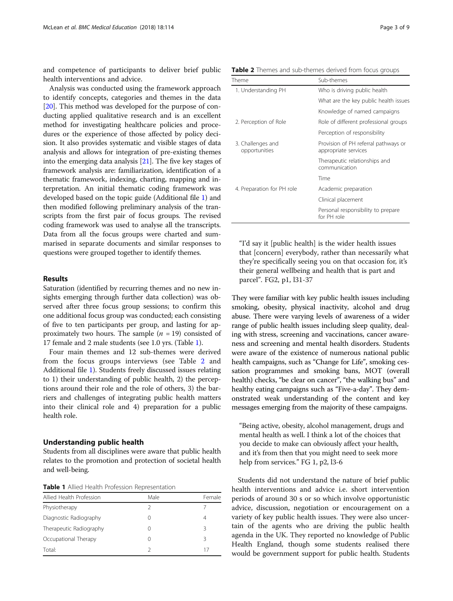and competence of participants to deliver brief public health interventions and advice.

Analysis was conducted using the framework approach to identify concepts, categories and themes in the data [[20\]](#page-8-0). This method was developed for the purpose of conducting applied qualitative research and is an excellent method for investigating healthcare policies and procedures or the experience of those affected by policy decision. It also provides systematic and visible stages of data analysis and allows for integration of pre-existing themes into the emerging data analysis [\[21\]](#page-8-0). The five key stages of framework analysis are: familiarization, identification of a thematic framework, indexing, charting, mapping and interpretation. An initial thematic coding framework was developed based on the topic guide (Additional file [1\)](#page-7-0) and then modified following preliminary analysis of the transcripts from the first pair of focus groups. The revised coding framework was used to analyse all the transcripts. Data from all the focus groups were charted and summarised in separate documents and similar responses to questions were grouped together to identify themes.

### Results

Saturation (identified by recurring themes and no new insights emerging through further data collection) was observed after three focus group sessions; to confirm this one additional focus group was conducted; each consisting of five to ten participants per group, and lasting for approximately two hours. The sample  $(n = 19)$  consisted of 17 female and 2 male students (see 1.0 yrs. (Table 1).

Four main themes and 12 sub-themes were derived from the focus groups interviews (see Table 2 and Additional file [1](#page-7-0)). Students freely discussed issues relating to 1) their understanding of public health, 2) the perceptions around their role and the role of others, 3) the barriers and challenges of integrating public health matters into their clinical role and 4) preparation for a public health role.

### Understanding public health

Students from all disciplines were aware that public health relates to the promotion and protection of societal health and well-being.

Table 1 Allied Health Profession Representation

| Allied Health Profession | Male     | Female |
|--------------------------|----------|--------|
| Physiotherapy            |          |        |
| Diagnostic Radiography   |          | 4      |
| Therapeutic Radiography  |          | Β      |
| Occupational Therapy     | $\left($ | 3      |
| Total:                   |          | 17     |

Table 2 Themes and sub-themes derived from focus groups

| Theme                              | Sub-themes                                                   |  |
|------------------------------------|--------------------------------------------------------------|--|
| 1. Understanding PH                | Who is driving public health                                 |  |
|                                    | What are the key public health issues                        |  |
|                                    | Knowledge of named campaigns                                 |  |
| 2. Perception of Role              | Role of different professional groups                        |  |
|                                    | Perception of responsibility                                 |  |
| 3. Challenges and<br>opportunities | Provision of PH referral pathways or<br>appropriate services |  |
|                                    | Therapeutic relationships and<br>communication               |  |
|                                    | Time                                                         |  |
| 4. Preparation for PH role         | Academic preparation                                         |  |
|                                    | Clinical placement                                           |  |
|                                    | Personal responsibility to prepare<br>for PH role            |  |

"I'd say it [public health] is the wider health issues that [concern] everybody, rather than necessarily what they're specifically seeing you on that occasion for, it's their general wellbeing and health that is part and parcel". FG2, p1, l31-37

They were familiar with key public health issues including smoking, obesity, physical inactivity, alcohol and drug abuse. There were varying levels of awareness of a wider range of public health issues including sleep quality, dealing with stress, screening and vaccinations, cancer awareness and screening and mental health disorders. Students were aware of the existence of numerous national public health campaigns, such as "Change for Life", smoking cessation programmes and smoking bans, MOT (overall health) checks, "be clear on cancer", "the walking bus" and healthy eating campaigns such as "Five-a-day". They demonstrated weak understanding of the content and key messages emerging from the majority of these campaigns.

"Being active, obesity, alcohol management, drugs and mental health as well. I think a lot of the choices that you decide to make can obviously affect your health, and it's from then that you might need to seek more help from services." FG 1, p2, l3-6

Students did not understand the nature of brief public health interventions and advice i.e. short intervention periods of around 30 s or so which involve opportunistic advice, discussion, negotiation or encouragement on a variety of key public health issues. They were also uncertain of the agents who are driving the public health agenda in the UK. They reported no knowledge of Public Health England, though some students realised there would be government support for public health. Students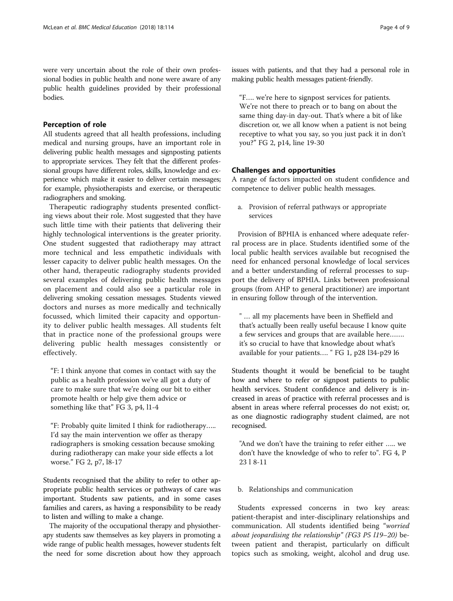were very uncertain about the role of their own professional bodies in public health and none were aware of any public health guidelines provided by their professional bodies.

### Perception of role

All students agreed that all health professions, including medical and nursing groups, have an important role in delivering public health messages and signposting patients to appropriate services. They felt that the different professional groups have different roles, skills, knowledge and experience which make it easier to deliver certain messages; for example, physiotherapists and exercise, or therapeutic radiographers and smoking.

Therapeutic radiography students presented conflicting views about their role. Most suggested that they have such little time with their patients that delivering their highly technological interventions is the greater priority. One student suggested that radiotherapy may attract more technical and less empathetic individuals with lesser capacity to deliver public health messages. On the other hand, therapeutic radiography students provided several examples of delivering public health messages on placement and could also see a particular role in delivering smoking cessation messages. Students viewed doctors and nurses as more medically and technically focussed, which limited their capacity and opportunity to deliver public health messages. All students felt that in practice none of the professional groups were delivering public health messages consistently or effectively.

"F: I think anyone that comes in contact with say the public as a health profession we've all got a duty of care to make sure that we're doing our bit to either promote health or help give them advice or something like that" FG 3, p4, l1-4

"F: Probably quite limited I think for radiotherapy….. I'd say the main intervention we offer as therapy radiographers is smoking cessation because smoking during radiotherapy can make your side effects a lot worse." FG 2, p7, l8-17

Students recognised that the ability to refer to other appropriate public health services or pathways of care was important. Students saw patients, and in some cases families and carers, as having a responsibility to be ready to listen and willing to make a change.

The majority of the occupational therapy and physiotherapy students saw themselves as key players in promoting a wide range of public health messages, however students felt the need for some discretion about how they approach issues with patients, and that they had a personal role in making public health messages patient-friendly.

"F…. we're here to signpost services for patients. We're not there to preach or to bang on about the same thing day-in day-out. That's where a bit of like discretion or, we all know when a patient is not being receptive to what you say, so you just pack it in don't you?" FG 2, p14, line 19-30

### Challenges and opportunities

A range of factors impacted on student confidence and competence to deliver public health messages.

a. Provision of referral pathways or appropriate services

Provision of BPHIA is enhanced where adequate referral process are in place. Students identified some of the local public health services available but recognised the need for enhanced personal knowledge of local services and a better understanding of referral processes to support the delivery of BPHIA. Links between professional groups (from AHP to general practitioner) are important in ensuring follow through of the intervention.

" … all my placements have been in Sheffield and that's actually been really useful because I know quite a few services and groups that are available here……. it's so crucial to have that knowledge about what's available for your patients…. " FG 1, p28 l34-p29 l6

Students thought it would be beneficial to be taught how and where to refer or signpost patients to public health services. Student confidence and delivery is increased in areas of practice with referral processes and is absent in areas where referral processes do not exist; or, as one diagnostic radiography student claimed, are not recognised.

"And we don't have the training to refer either ….. we don't have the knowledge of who to refer to". FG 4, P 23 l 8-11

### b. Relationships and communication

Students expressed concerns in two key areas: patient-therapist and inter-disciplinary relationships and communication. All students identified being "worried about jeopardising the relationship" (FG3 P5 l19–20) between patient and therapist, particularly on difficult topics such as smoking, weight, alcohol and drug use.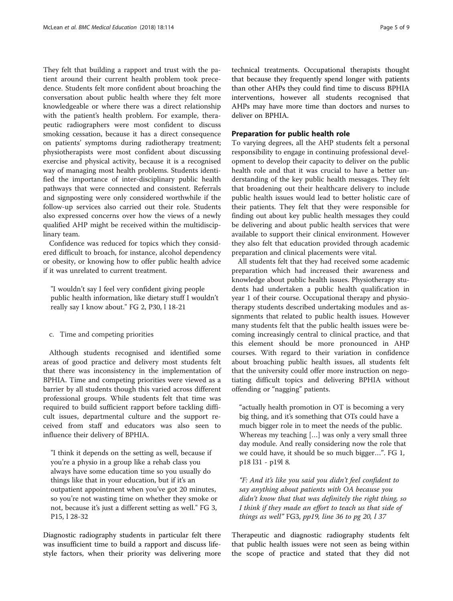They felt that building a rapport and trust with the patient around their current health problem took precedence. Students felt more confident about broaching the conversation about public health where they felt more knowledgeable or where there was a direct relationship with the patient's health problem. For example, therapeutic radiographers were most confident to discuss smoking cessation, because it has a direct consequence on patients' symptoms during radiotherapy treatment; physiotherapists were most confident about discussing exercise and physical activity, because it is a recognised way of managing most health problems. Students identified the importance of inter-disciplinary public health pathways that were connected and consistent. Referrals and signposting were only considered worthwhile if the follow-up services also carried out their role. Students also expressed concerns over how the views of a newly qualified AHP might be received within the multidisciplinary team.

Confidence was reduced for topics which they considered difficult to broach, for instance, alcohol dependency or obesity, or knowing how to offer public health advice if it was unrelated to current treatment.

"I wouldn't say I feel very confident giving people public health information, like dietary stuff I wouldn't really say I know about." FG 2, P30, l 18-21

#### c. Time and competing priorities

Although students recognised and identified some areas of good practice and delivery most students felt that there was inconsistency in the implementation of BPHIA. Time and competing priorities were viewed as a barrier by all students though this varied across different professional groups. While students felt that time was required to build sufficient rapport before tackling difficult issues, departmental culture and the support received from staff and educators was also seen to influence their delivery of BPHIA.

"I think it depends on the setting as well, because if you're a physio in a group like a rehab class you always have some education time so you usually do things like that in your education, but if it's an outpatient appointment when you've got 20 minutes, so you're not wasting time on whether they smoke or not, because it's just a different setting as well." FG 3, P15, l 28-32

Diagnostic radiography students in particular felt there was insufficient time to build a rapport and discuss lifestyle factors, when their priority was delivering more technical treatments. Occupational therapists thought that because they frequently spend longer with patients than other AHPs they could find time to discuss BPHIA interventions, however all students recognised that AHPs may have more time than doctors and nurses to deliver on BPHIA.

### Preparation for public health role

To varying degrees, all the AHP students felt a personal responsibility to engage in continuing professional development to develop their capacity to deliver on the public health role and that it was crucial to have a better understanding of the key public health messages. They felt that broadening out their healthcare delivery to include public health issues would lead to better holistic care of their patients. They felt that they were responsible for finding out about key public health messages they could be delivering and about public health services that were available to support their clinical environment. However they also felt that education provided through academic preparation and clinical placements were vital.

All students felt that they had received some academic preparation which had increased their awareness and knowledge about public health issues. Physiotherapy students had undertaken a public health qualification in year 1 of their course. Occupational therapy and physiotherapy students described undertaking modules and assignments that related to public health issues. However many students felt that the public health issues were becoming increasingly central to clinical practice, and that this element should be more pronounced in AHP courses. With regard to their variation in confidence about broaching public health issues, all students felt that the university could offer more instruction on negotiating difficult topics and delivering BPHIA without offending or "nagging" patients.

"actually health promotion in OT is becoming a very big thing, and it's something that OTs could have a much bigger role in to meet the needs of the public. Whereas my teaching […] was only a very small three day module. And really considering now the role that we could have, it should be so much bigger…". FG 1, p18 l31 - p19l 8.

"F: And it's like you said you didn't feel confident to say anything about patients with OA because you didn't know that that was definitely the right thing, so I think if they made an effort to teach us that side of things as well" FG3, pp19, line 36 to pg 20, l 37

Therapeutic and diagnostic radiography students felt that public health issues were not seen as being within the scope of practice and stated that they did not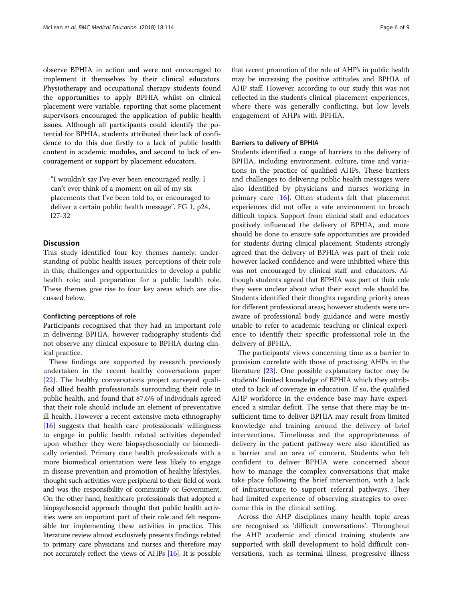observe BPHIA in action and were not encouraged to implement it themselves by their clinical educators. Physiotherapy and occupational therapy students found the opportunities to apply BPHIA whilst on clinical placement were variable, reporting that some placement supervisors encouraged the application of public health issues. Although all participants could identify the potential for BPHIA, students attributed their lack of confidence to do this due firstly to a lack of public health content in academic modules, and second to lack of encouragement or support by placement educators.

"I wouldn't say I've ever been encouraged really. I can't ever think of a moment on all of my six placements that I've been told to, or encouraged to deliver a certain public health message". FG 1, p24, l27-32

### Discussion

This study identified four key themes namely: understanding of public health issues; perceptions of their role in this; challenges and opportunities to develop a public health role; and preparation for a public health role. These themes give rise to four key areas which are discussed below.

#### Conflicting perceptions of role

Participants recognised that they had an important role in delivering BPHIA, however radiography students did not observe any clinical exposure to BPHIA during clinical practice.

These findings are supported by research previously undertaken in the recent healthy conversations paper [[22\]](#page-8-0). The healthy conversations project surveyed qualified allied health professionals surrounding their role in public health, and found that 87.6% of individuals agreed that their role should include an element of preventative ill health. However a recent extensive meta-ethnography [[16\]](#page-8-0) suggests that health care professionals' willingness to engage in public health related activities depended upon whether they were biopsychosocially or biomedically oriented. Primary care health professionals with a more biomedical orientation were less likely to engage in disease prevention and promotion of healthy lifestyles, thought such activities were peripheral to their field of work and was the responsibility of community or Government. On the other hand, healthcare professionals that adopted a biopsychosocial approach thought that public health activities were an important part of their role and felt responsible for implementing these activities in practice. This literature review almost exclusively presents findings related to primary care physicians and nurses and therefore may not accurately reflect the views of AHPs [\[16\]](#page-8-0). It is possible

that recent promotion of the role of AHP's in public health may be increasing the positive attitudes and BPHIA of AHP staff. However, according to our study this was not reflected in the student's clinical placement experiences, where there was generally conflicting, but low levels engagement of AHPs with BPHIA.

### Barriers to delivery of BPHIA

Students identified a range of barriers to the delivery of BPHIA, including environment, culture, time and variations in the practice of qualified AHPs. These barriers and challenges to delivering public health messages were also identified by physicians and nurses working in primary care  $[16]$  $[16]$ . Often students felt that placement experiences did not offer a safe environment to broach difficult topics. Support from clinical staff and educators positively influenced the delivery of BPHIA, and more should be done to ensure safe opportunities are provided for students during clinical placement. Students strongly agreed that the delivery of BPHIA was part of their role however lacked confidence and were inhibited where this was not encouraged by clinical staff and educators. Although students agreed that BPHIA was part of their role they were unclear about what their exact role should be. Students identified their thoughts regarding priority areas for different professional areas; however students were unaware of professional body guidance and were mostly unable to refer to academic teaching or clinical experience to identify their specific professional role in the delivery of BPHIA.

The participants' views concerning time as a barrier to provision correlate with those of practising AHPs in the literature [[23](#page-8-0)]. One possible explanatory factor may be students' limited knowledge of BPHIA which they attributed to lack of coverage in education. If so, the qualified AHP workforce in the evidence base may have experienced a similar deficit. The sense that there may be insufficient time to deliver BPHIA may result from limited knowledge and training around the delivery of brief interventions. Timeliness and the appropriateness of delivery in the patient pathway were also identified as a barrier and an area of concern. Students who felt confident to deliver BPHIA were concerned about how to manage the complex conversations that make take place following the brief intervention, with a lack of infrastructure to support referral pathways. They had limited experience of observing strategies to overcome this in the clinical setting.

Across the AHP disciplines many health topic areas are recognised as 'difficult conversations'. Throughout the AHP academic and clinical training students are supported with skill development to hold difficult conversations, such as terminal illness, progressive illness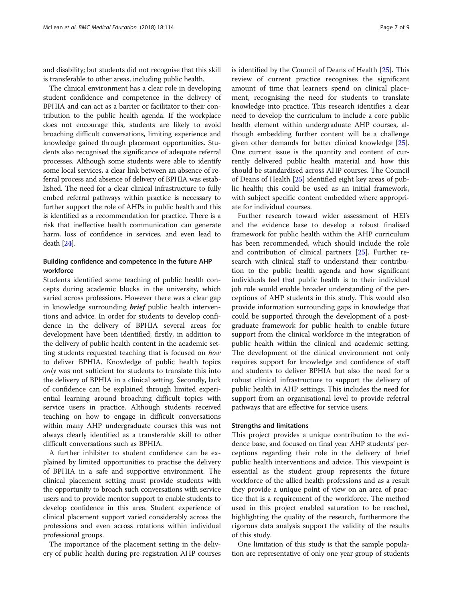and disability; but students did not recognise that this skill is transferable to other areas, including public health.

The clinical environment has a clear role in developing student confidence and competence in the delivery of BPHIA and can act as a barrier or facilitator to their contribution to the public health agenda. If the workplace does not encourage this, students are likely to avoid broaching difficult conversations, limiting experience and knowledge gained through placement opportunities. Students also recognised the significance of adequate referral processes. Although some students were able to identify some local services, a clear link between an absence of referral process and absence of delivery of BPHIA was established. The need for a clear clinical infrastructure to fully embed referral pathways within practice is necessary to further support the role of AHPs in public health and this is identified as a recommendation for practice. There is a risk that ineffective health communication can generate harm, loss of confidence in services, and even lead to death [\[24](#page-8-0)].

### Building confidence and competence in the future AHP workforce

Students identified some teaching of public health concepts during academic blocks in the university, which varied across professions. However there was a clear gap in knowledge surrounding **brief** public health interventions and advice. In order for students to develop confidence in the delivery of BPHIA several areas for development have been identified; firstly, in addition to the delivery of public health content in the academic setting students requested teaching that is focused on how to deliver BPHIA. Knowledge of public health topics only was not sufficient for students to translate this into the delivery of BPHIA in a clinical setting. Secondly, lack of confidence can be explained through limited experiential learning around broaching difficult topics with service users in practice. Although students received teaching on how to engage in difficult conversations within many AHP undergraduate courses this was not always clearly identified as a transferable skill to other difficult conversations such as BPHIA.

A further inhibiter to student confidence can be explained by limited opportunities to practise the delivery of BPHIA in a safe and supportive environment. The clinical placement setting must provide students with the opportunity to broach such conversations with service users and to provide mentor support to enable students to develop confidence in this area. Student experience of clinical placement support varied considerably across the professions and even across rotations within individual professional groups.

The importance of the placement setting in the delivery of public health during pre-registration AHP courses is identified by the Council of Deans of Health [\[25](#page-8-0)]. This review of current practice recognises the significant amount of time that learners spend on clinical placement, recognising the need for students to translate knowledge into practice. This research identifies a clear need to develop the curriculum to include a core public health element within undergraduate AHP courses, although embedding further content will be a challenge given other demands for better clinical knowledge [\[25](#page-8-0)]. One current issue is the quantity and content of currently delivered public health material and how this should be standardised across AHP courses. The Council of Deans of Health [[25\]](#page-8-0) identified eight key areas of public health; this could be used as an initial framework, with subject specific content embedded where appropriate for individual courses.

Further research toward wider assessment of HEI's and the evidence base to develop a robust finalised framework for public health within the AHP curriculum has been recommended, which should include the role and contribution of clinical partners [[25](#page-8-0)]. Further research with clinical staff to understand their contribution to the public health agenda and how significant individuals feel that public health is to their individual job role would enable broader understanding of the perceptions of AHP students in this study. This would also provide information surrounding gaps in knowledge that could be supported through the development of a postgraduate framework for public health to enable future support from the clinical workforce in the integration of public health within the clinical and academic setting. The development of the clinical environment not only requires support for knowledge and confidence of staff and students to deliver BPHIA but also the need for a robust clinical infrastructure to support the delivery of public health in AHP settings. This includes the need for support from an organisational level to provide referral pathways that are effective for service users.

#### Strengths and limitations

This project provides a unique contribution to the evidence base, and focused on final year AHP students' perceptions regarding their role in the delivery of brief public health interventions and advice. This viewpoint is essential as the student group represents the future workforce of the allied health professions and as a result they provide a unique point of view on an area of practice that is a requirement of the workforce. The method used in this project enabled saturation to be reached, highlighting the quality of the research, furthermore the rigorous data analysis support the validity of the results of this study.

One limitation of this study is that the sample population are representative of only one year group of students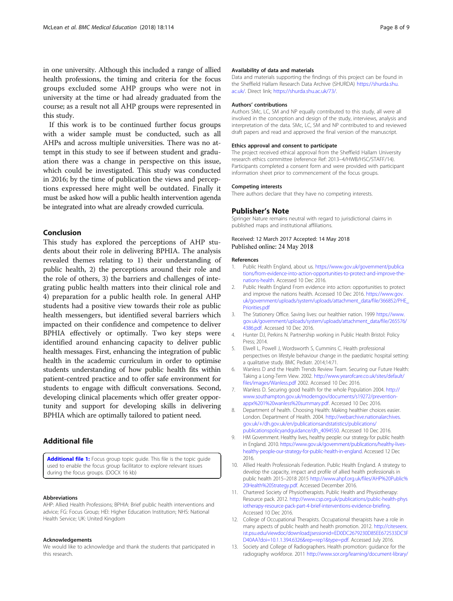<span id="page-7-0"></span>in one university. Although this included a range of allied health professions, the timing and criteria for the focus groups excluded some AHP groups who were not in university at the time or had already graduated from the course; as a result not all AHP groups were represented in this study.

If this work is to be continued further focus groups with a wider sample must be conducted, such as all AHPs and across multiple universities. There was no attempt in this study to see if between student and graduation there was a change in perspective on this issue, which could be investigated. This study was conducted in 2016; by the time of publication the views and perceptions expressed here might well be outdated. Finally it must be asked how will a public health intervention agenda be integrated into what are already crowded curricula.

### Conclusion

This study has explored the perceptions of AHP students about their role in delivering BPHIA. The analysis revealed themes relating to 1) their understanding of public health, 2) the perceptions around their role and the role of others, 3) the barriers and challenges of integrating public health matters into their clinical role and 4) preparation for a public health role. In general AHP students had a positive view towards their role as public health messengers, but identified several barriers which impacted on their confidence and competence to deliver BPHIA effectively or optimally. Two key steps were identified around enhancing capacity to deliver public health messages. First, enhancing the integration of public health in the academic curriculum in order to optimise students understanding of how public health fits within patient-centred practice and to offer safe environment for students to engage with difficult conversations. Second, developing clinical placements which offer greater opportunity and support for developing skills in delivering BPHIA which are optimally tailored to patient need.

### Additional file

[Additional file 1:](https://doi.org/10.1186/s12909-018-1224-0) Focus group topic guide. This file is the topic guide used to enable the focus group facilitator to explore relevant issues during the focus groups. (DOCX 16 kb)

#### Abbreviations

AHP: Allied Health Professions; BPHIA: Brief public health interventions and advice; FG: Focus Group; HEI: Higher Education Institution; NHS: National Health Service; UK: United Kingdom

#### Acknowledgements

We would like to acknowledge and thank the students that participated in this research.

### Availability of data and materials

Data and materials supporting the findings of this project can be found in the Sheffield Hallam Research Data Archive (SHURDA) [https://shurda.shu.](https://shurda.shu.ac.uk/) [ac.uk/](https://shurda.shu.ac.uk/). Direct link; [https://shurda.shu.ac.uk/73/.](https://shurda.shu.ac.uk/73/)

#### Authors' contributions

Authors SMc, LC, SM and NP equally contributed to this study, all were all involved in the conception and design of the study, interviews, analysis and interpretation of the data. SMc, LC, SM and NP contributed to and reviewed draft papers and read and approved the final version of the manuscript.

#### Ethics approval and consent to participate

The project received ethical approval from the Sheffield Hallam University research ethics committee (reference Ref: 2013–4/HWB/HSC/STAFF/14). Participants completed a consent form and were provided with participant information sheet prior to commencement of the focus groups.

#### Competing interests

There authors declare that they have no competing interests.

#### Publisher's Note

Springer Nature remains neutral with regard to jurisdictional claims in published maps and institutional affiliations.

### Received: 12 March 2017 Accepted: 14 May 2018 Published online: 24 May 2018

#### References

- 1. Public Health England, about us. [https://www.gov.uk/government/publica](https://www.gov.uk/government/publications/from-evidence-into-action-opportunities-to-protect-and-improve-the-nations-health) [tions/from-evidence-into-action-opportunities-to-protect-and-improve-the](https://www.gov.uk/government/publications/from-evidence-into-action-opportunities-to-protect-and-improve-the-nations-health)[nations-health](https://www.gov.uk/government/publications/from-evidence-into-action-opportunities-to-protect-and-improve-the-nations-health). Accessed 10 Dec 2016.
- 2. Public Health England From evidence into action: opportunities to protect and improve the nations health. Accessed 10 Dec 2016. [https://www.gov.](https://www.gov.uk/government/uploads/system/uploads/attachment_data/file/366852/PHE_Priorities.pdf) uk/government/uploads/system/uploads/attachment\_data/file/366852/PHE Priorities ndf
- 3. The Stationery Office. Saving lives: our healthier nation. 1999 [https://www.](https://www.gov.uk/government/uploads/system/uploads/attachment_data/file/265576/4386.pdf) [gov.uk/government/uploads/system/uploads/attachment\\_data/file/265576/](https://www.gov.uk/government/uploads/system/uploads/attachment_data/file/265576/4386.pdf) [4386.pdf](https://www.gov.uk/government/uploads/system/uploads/attachment_data/file/265576/4386.pdf). Accessed 10 Dec 2016.
- 4. Hunter DJ, Perkins N. Partnership working in Public Health Bristol: Policy Press; 2014.
- 5. Elwell L, Powell J, Wordsworth S, Cummins C. Health professional perspectives on lifestyle behaviour change in the paediatric hospital setting: a qualitative study. BMC Pediatr. 2014;14:71.
- 6. Wanless D and the Health Trends Review Team. Securing our Future Health: Taking a Long-Term View. 2002. [http://www.yearofcare.co.uk/sites/default/](http://www.yearofcare.co.uk/sites/default/files/images/Wanless.pdf) [files/images/Wanless.pdf](http://www.yearofcare.co.uk/sites/default/files/images/Wanless.pdf) 2002. Accessed 10 Dec 2016.
- 7. Wanless D. Securing good health for the whole Population 2004. [http://](http://www.southampton.gov.uk/moderngov/documents/s19272/prevention-appx%201%20wanless%20summary.pdf) [www.southampton.gov.uk/moderngov/documents/s19272/prevention](http://www.southampton.gov.uk/moderngov/documents/s19272/prevention-appx%201%20wanless%20summary.pdf)[appx%201%20wanless%20summary.pdf](http://www.southampton.gov.uk/moderngov/documents/s19272/prevention-appx%201%20wanless%20summary.pdf). Accessed 10 Dec 2016.
- 8. Department of health. Choosing Health: Making healthier choices easier. London. Department of Health. 2004. [http://webarchive.nationalarchives.](http://webarchive.nationalarchives.gov.uk/+/dh.gov.uk/en/publicationsandstatistics/publications/publicationspolicyandguidance/dh_4094550) [gov.uk/+/dh.gov.uk/en/publicationsandstatistics/publications/](http://webarchive.nationalarchives.gov.uk/+/dh.gov.uk/en/publicationsandstatistics/publications/publicationspolicyandguidance/dh_4094550) [publicationspolicyandguidance/dh\\_4094550.](http://webarchive.nationalarchives.gov.uk/+/dh.gov.uk/en/publicationsandstatistics/publications/publicationspolicyandguidance/dh_4094550) Accessed 10 Dec 2016.
- 9. HM Government. Healthy lives, healthy people: our strategy for public health in England. 2010. [https://www.gov.uk/government/publications/healthy-lives](https://www.gov.uk/government/publications/healthy-lives-healthy-people-our-strategy-for-public-health-in-england)[healthy-people-our-strategy-for-public-health-in-england.](https://www.gov.uk/government/publications/healthy-lives-healthy-people-our-strategy-for-public-health-in-england) Accessed 12 Dec 2016.
- 10. Allied Health Professionals Federation. Public Health England. A strategy to develop the capacity, impact and profile of allied health professionals in public health 2015–2018 2015 [http://www.ahpf.org.uk/files/AHP%20Public%](http://www.ahpf.org.uk/files/AHP%20Public%20Health%20Strategy.pdf) [20Health%20Strategy.pdf](http://www.ahpf.org.uk/files/AHP%20Public%20Health%20Strategy.pdf). Accessed December 2016.
- 11. Chartered Society of Physiotherapists. Public Health and Physiotherapy: Resource pack. 2012. [http://www.csp.org.uk/publications/public-health-phys](http://www.csp.org.uk/publications/public-health-physiotherapy-resource-pack-part-4-brief-interventions-evidence-briefing) [iotherapy-resource-pack-part-4-brief-interventions-evidence-briefing](http://www.csp.org.uk/publications/public-health-physiotherapy-resource-pack-part-4-brief-interventions-evidence-briefing). Accessed 10 Dec 2016.
- 12. College of Occupational Therapists. Occupational therapists have a role in many aspects of public health and health promotion. 2012. [http://citeseerx.](http://citeseerx.ist.psu.edu/viewdoc/download;jsessionid=ED0DC2679230D85EE672533DC3FD40AA?doi=10.1.1.394.6326&rep=rep1&type=pdf) [ist.psu.edu/viewdoc/download;jsessionid=ED0DC2679230D85EE672533DC3F](http://citeseerx.ist.psu.edu/viewdoc/download;jsessionid=ED0DC2679230D85EE672533DC3FD40AA?doi=10.1.1.394.6326&rep=rep1&type=pdf) [D40AA?doi=10.1.1.394.6326&rep=rep1&type=pdf](http://citeseerx.ist.psu.edu/viewdoc/download;jsessionid=ED0DC2679230D85EE672533DC3FD40AA?doi=10.1.1.394.6326&rep=rep1&type=pdf). Accessed July 2016.
- 13. Society and College of Radiographers. Health promotion: guidance for the radiography workforce. 2011 [http://www.sor.org/learning/document-library/](http://www.sor.org/learning/document-library/health-promotion-guidance-and-advice-radiography-workforce/3-radiography-workforce-and-health)